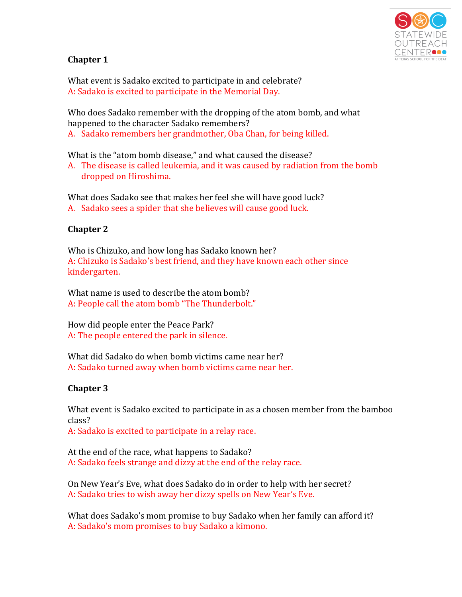

# **Chapter 1**

What event is Sadako excited to participate in and celebrate? A: Sadako is excited to participate in the Memorial Day.

Who does Sadako remember with the dropping of the atom bomb, and what happened to the character Sadako remembers? A. Sadako remembers her grandmother, Oba Chan, for being killed.

What is the "atom bomb disease," and what caused the disease?

A. The disease is called leukemia, and it was caused by radiation from the bomb dropped on Hiroshima.

What does Sadako see that makes her feel she will have good luck? A. Sadako sees a spider that she believes will cause good luck.

## **Chapter 2**

Who is Chizuko, and how long has Sadako known her? A: Chizuko is Sadako's best friend, and they have known each other since kindergarten.

What name is used to describe the atom bomb? A: People call the atom bomb "The Thunderbolt."

How did people enter the Peace Park? A: The people entered the park in silence.

What did Sadako do when bomb victims came near her? A: Sadako turned away when bomb victims came near her.

## **Chapter 3**

What event is Sadako excited to participate in as a chosen member from the bamboo class?

A: Sadako is excited to participate in a relay race.

At the end of the race, what happens to Sadako? A: Sadako feels strange and dizzy at the end of the relay race.

On New Year's Eve, what does Sadako do in order to help with her secret? A: Sadako tries to wish away her dizzy spells on New Year's Eve.

What does Sadako's mom promise to buy Sadako when her family can afford it? A: Sadako's mom promises to buy Sadako a kimono.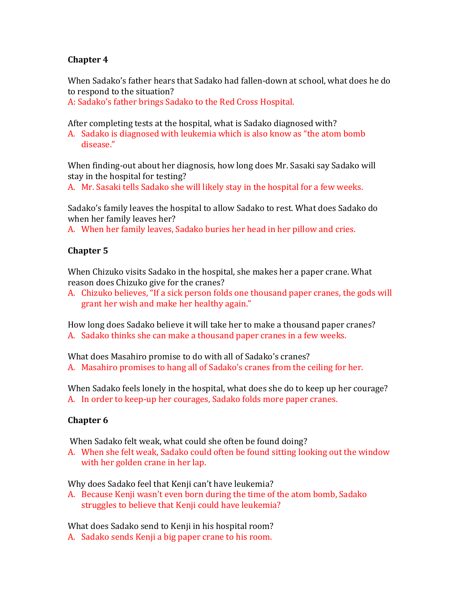### **Chapter 4**

When Sadako's father hears that Sadako had fallen-down at school, what does he do to respond to the situation?

A: Sadako's father brings Sadako to the Red Cross Hospital.

After completing tests at the hospital, what is Sadako diagnosed with?

A. Sadako is diagnosed with leukemia which is also know as "the atom bomb" disease."

When finding-out about her diagnosis, how long does Mr. Sasaki say Sadako will stay in the hospital for testing?

A. Mr. Sasaki tells Sadako she will likely stay in the hospital for a few weeks.

Sadako's family leaves the hospital to allow Sadako to rest. What does Sadako do when her family leaves her?

A. When her family leaves, Sadako buries her head in her pillow and cries.

#### **Chapter 5**

When Chizuko visits Sadako in the hospital, she makes her a paper crane. What reason does Chizuko give for the cranes?

A. Chizuko believes, "If a sick person folds one thousand paper cranes, the gods will grant her wish and make her healthy again."

How long does Sadako believe it will take her to make a thousand paper cranes? A. Sadako thinks she can make a thousand paper cranes in a few weeks.

What does Masahiro promise to do with all of Sadako's cranes?

A. Masahiro promises to hang all of Sadako's cranes from the ceiling for her.

When Sadako feels lonely in the hospital, what does she do to keep up her courage? A. In order to keep-up her courages, Sadako folds more paper cranes.

## **Chapter 6**

When Sadako felt weak, what could she often be found doing?

A. When she felt weak, Sadako could often be found sitting looking out the window with her golden crane in her lap.

Why does Sadako feel that Kenji can't have leukemia?

A. Because Kenji wasn't even born during the time of the atom bomb, Sadako struggles to believe that Kenji could have leukemia?

What does Sadako send to Kenji in his hospital room?

A. Sadako sends Kenji a big paper crane to his room.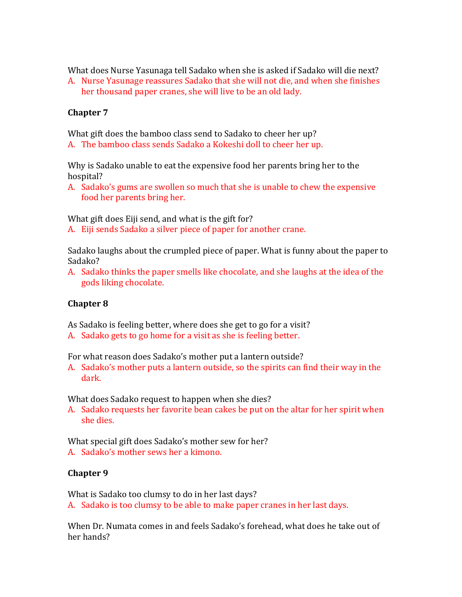What does Nurse Yasunaga tell Sadako when she is asked if Sadako will die next?

A. Nurse Yasunage reassures Sadako that she will not die, and when she finishes her thousand paper cranes, she will live to be an old lady.

#### **Chapter 7**

What gift does the bamboo class send to Sadako to cheer her up?

A. The bamboo class sends Sadako a Kokeshi doll to cheer her up.

Why is Sadako unable to eat the expensive food her parents bring her to the hospital?

A. Sadako's gums are swollen so much that she is unable to chew the expensive food her parents bring her.

What gift does Eiji send, and what is the gift for?

A. Eiji sends Sadako a silver piece of paper for another crane.

Sadako laughs about the crumpled piece of paper. What is funny about the paper to Sadako?

A. Sadako thinks the paper smells like chocolate, and she laughs at the idea of the gods liking chocolate.

## **Chapter 8**

As Sadako is feeling better, where does she get to go for a visit?

A. Sadako gets to go home for a visit as she is feeling better.

For what reason does Sadako's mother put a lantern outside?

A. Sadako's mother puts a lantern outside, so the spirits can find their way in the dark.

What does Sadako request to happen when she dies?

A. Sadako requests her favorite bean cakes be put on the altar for her spirit when she dies.

What special gift does Sadako's mother sew for her?

A. Sadako's mother sews her a kimono.

## **Chapter 9**

What is Sadako too clumsy to do in her last days?

A. Sadako is too clumsy to be able to make paper cranes in her last days.

When Dr. Numata comes in and feels Sadako's forehead, what does he take out of her hands?